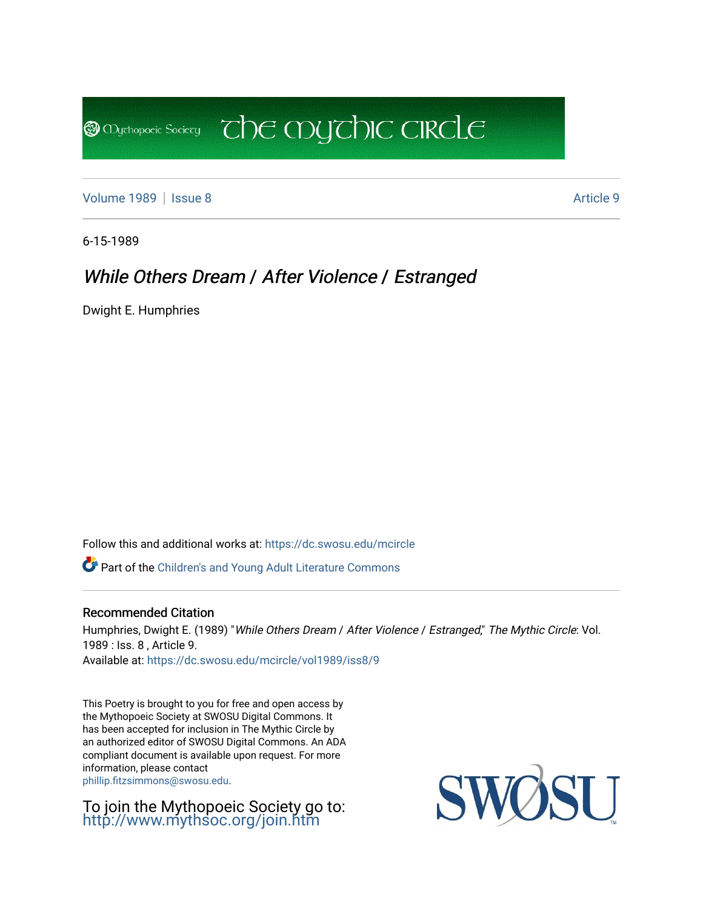[Volume 1989](https://dc.swosu.edu/mcircle/vol1989) | [Issue 8](https://dc.swosu.edu/mcircle/vol1989/iss8) Article 9

**B** Mychopoeic Sociecy

6-15-1989

# While Others Dream / After Violence / Estranged

 $\overline{C}$  the mychic circle

Dwight E. Humphries

Follow this and additional works at: [https://dc.swosu.edu/mcircle](https://dc.swosu.edu/mcircle?utm_source=dc.swosu.edu%2Fmcircle%2Fvol1989%2Fiss8%2F9&utm_medium=PDF&utm_campaign=PDFCoverPages) 

Part of the [Children's and Young Adult Literature Commons](http://network.bepress.com/hgg/discipline/1289?utm_source=dc.swosu.edu%2Fmcircle%2Fvol1989%2Fiss8%2F9&utm_medium=PDF&utm_campaign=PDFCoverPages) 

#### Recommended Citation

Humphries, Dwight E. (1989) "While Others Dream / After Violence / Estranged," The Mythic Circle: Vol. 1989 : Iss. 8 , Article 9. Available at: [https://dc.swosu.edu/mcircle/vol1989/iss8/9](https://dc.swosu.edu/mcircle/vol1989/iss8/9?utm_source=dc.swosu.edu%2Fmcircle%2Fvol1989%2Fiss8%2F9&utm_medium=PDF&utm_campaign=PDFCoverPages) 

This Poetry is brought to you for free and open access by the Mythopoeic Society at SWOSU Digital Commons. It has been accepted for inclusion in The Mythic Circle by an authorized editor of SWOSU Digital Commons. An ADA compliant document is available upon request. For more information, please contact [phillip.fitzsimmons@swosu.edu](mailto:phillip.fitzsimmons@swosu.edu).

To join the Mythopoeic Society go to: <http://www.mythsoc.org/join.htm>

SWO **ST T**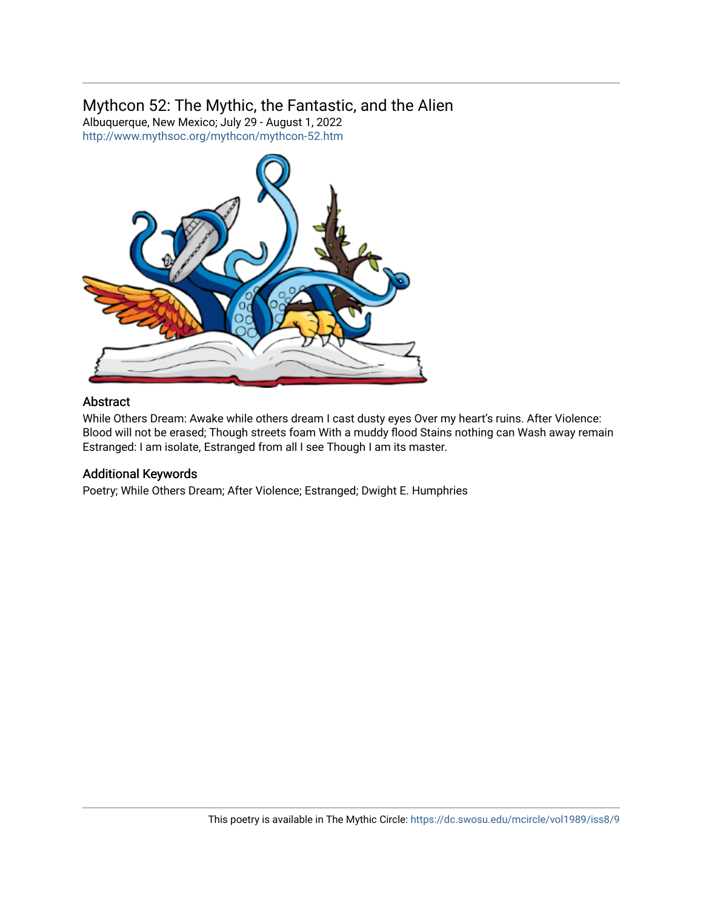### Mythcon 52: The Mythic, the Fantastic, and the Alien

Albuquerque, New Mexico; July 29 - August 1, 2022 <http://www.mythsoc.org/mythcon/mythcon-52.htm>



#### Abstract

While Others Dream: Awake while others dream I cast dusty eyes Over my heart's ruins. After Violence: Blood will not be erased; Though streets foam With a muddy flood Stains nothing can Wash away remain Estranged: I am isolate, Estranged from all I see Though I am its master.

#### Additional Keywords

Poetry; While Others Dream; After Violence; Estranged; Dwight E. Humphries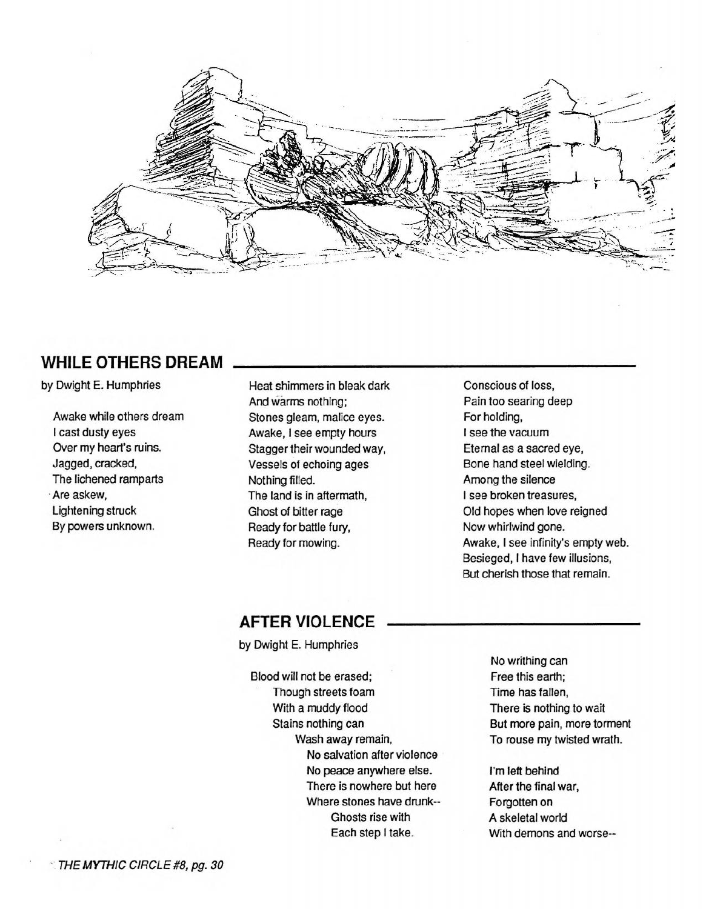

# **WHILE OTHERS DREAM**

by Dwight E. Humphries

Awake while others dream I cast dusty eyes Over my heart's ruins. Jagged, cracked, The lichened ramparts ·Are askew, Lightening struck By powers unknown.

Heat shimmers in bleak dark And warms nothing; Stones gleam, malice eyes. Awake, I see empty hours Stagger their wounded way, Vessels of echoing ages Nothing filled. The land is in aftermath, Ghost of bitter rage Ready for battle fury, Ready for mowing.

Conscious of loss, Pain too searing deep For holding, I see the vacuum Eternal as a sacred eye, Bone hand steel wielding. Among the silence I see broken treasures, Old hopes when love reigned Now whirlwind gone. Awake, I see infinity's empty web. Besieged, I have few illusions, But cherish those that remain.

# **AFTER VIOLENCE**

by Dwight E. Humphries

Blood will not be erased; Though streets foam With a muddy flood Stains nothing can Wash away remain, No salvation after violence No peace anywhere else. There is nowhere but here Where stones have drunk-- Ghosts rise with Each step I take.

No writhing can Free this earth: Time has fallen. There is nothing to wait But more pain, more torment To rouse my twisted wrath.

I'm left behind After the final war, Forgotten on A skeletal world With demons and worse-